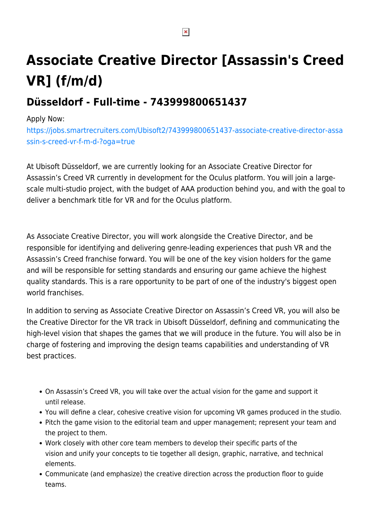# **Associate Creative Director [Assassin's Creed VR] (f/m/d)**

## **Düsseldorf - Full-time - 743999800651437**

#### Apply Now:

[https://jobs.smartrecruiters.com/Ubisoft2/743999800651437-associate-creative-director-assa](https://jobs.smartrecruiters.com/Ubisoft2/743999800651437-associate-creative-director-assassin-s-creed-vr-f-m-d-?oga=true) [ssin-s-creed-vr-f-m-d-?oga=true](https://jobs.smartrecruiters.com/Ubisoft2/743999800651437-associate-creative-director-assassin-s-creed-vr-f-m-d-?oga=true)

At Ubisoft Düsseldorf, we are currently looking for an Associate Creative Director for Assassin's Creed VR currently in development for the Oculus platform. You will join a largescale multi-studio project, with the budget of AAA production behind you, and with the goal to deliver a benchmark title for VR and for the Oculus platform. 

As Associate Creative Director, you will work alongside the Creative Director, and be responsible for identifying and delivering genre-leading experiences that push VR and the Assassin's Creed franchise forward. You will be one of the key vision holders for the game and will be responsible for setting standards and ensuring our game achieve the highest quality standards. This is a rare opportunity to be part of one of the industry's biggest open world franchises.

In addition to serving as Associate Creative Director on Assassin's Creed VR, you will also be the Creative Director for the VR track in Ubisoft Düsseldorf, defining and communicating the high-level vision that shapes the games that we will produce in the future. You will also be in charge of fostering and improving the design teams capabilities and understanding of VR best practices.

- On Assassin's Creed VR, you will take over the actual vision for the game and support it until release.
- You will define a clear, cohesive creative vision for upcoming VR games produced in the studio.
- Pitch the game vision to the editorial team and upper management; represent your team and the project to them.
- Work closely with other core team members to develop their specific parts of the vision and unify your concepts to tie together all design, graphic, narrative, and technical elements.
- Communicate (and emphasize) the creative direction across the production floor to guide teams.

 $\pmb{\times}$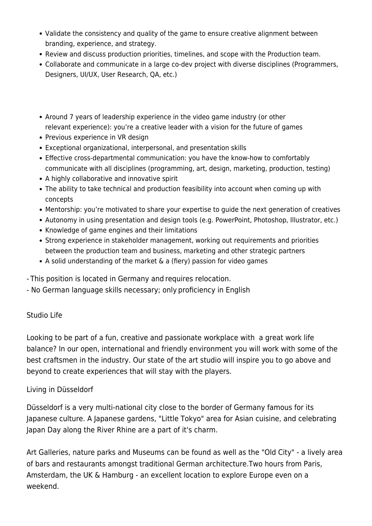- Validate the consistency and quality of the game to ensure creative alignment between branding, experience, and strategy.
- Review and discuss production priorities, timelines, and scope with the Production team.
- Collaborate and communicate in a large co-dev project with diverse disciplines (Programmers, Designers, UI/UX, User Research, QA, etc.)
- Around 7 years of leadership experience in the video game industry (or other relevant experience): you're a creative leader with a vision for the future of games
- Previous experience in VR design
- Exceptional organizational, interpersonal, and presentation skills
- Effective cross-departmental communication: you have the know-how to comfortably communicate with all disciplines (programming, art, design, marketing, production, testing)
- A highly collaborative and innovative spirit
- The ability to take technical and production feasibility into account when coming up with concepts
- Mentorship: you're motivated to share your expertise to guide the next generation of creatives
- Autonomy in using presentation and design tools (e.g. PowerPoint, Photoshop, Illustrator, etc.)
- Knowledge of game engines and their limitations
- Strong experience in stakeholder management, working out requirements and priorities between the production team and business, marketing and other strategic partners
- A solid understanding of the market & a (fiery) passion for video games

- This position is located in Germany and requires relocation. 

- No German language skills necessary; only proficiency in English

### Studio Life

Looking to be part of a fun, creative and passionate workplace with a great work life balance? In our open, international and friendly environment you will work with some of the best craftsmen in the industry. Our state of the art studio will inspire you to go above and beyond to create experiences that will stay with the players.

#### Living in Düsseldorf

Düsseldorf is a very multi-national city close to the border of Germany famous for its Japanese culture. A Japanese gardens, "Little Tokyo" area for Asian cuisine, and celebrating Japan Day along the River Rhine are a part of it's charm.

Art Galleries, nature parks and Museums can be found as well as the "Old City" - a lively area of bars and restaurants amongst traditional German architecture.Two hours from Paris, Amsterdam, the UK & Hamburg - an excellent location to explore Europe even on a weekend.